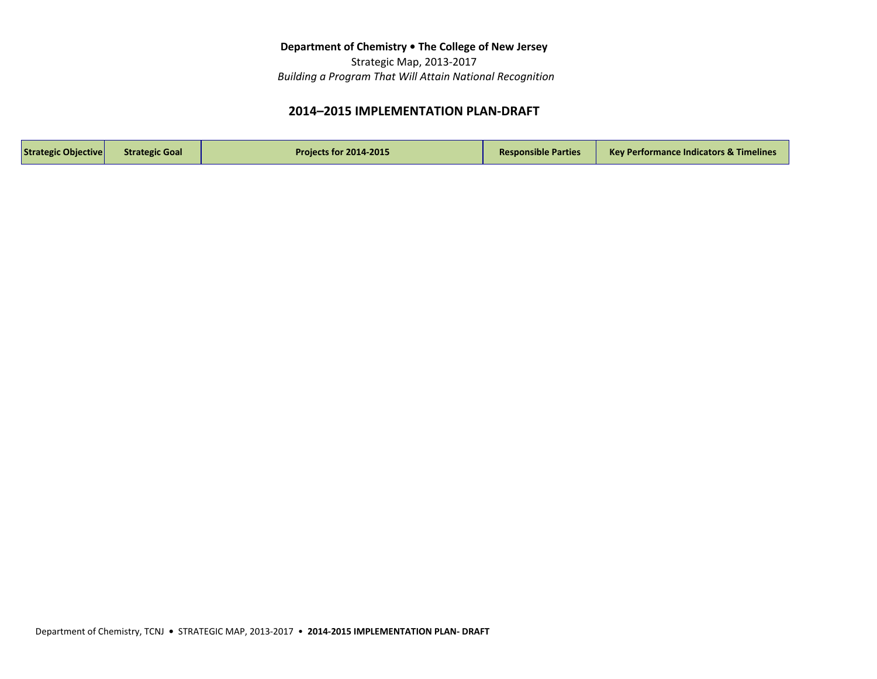Strategic Map, 2013-2017  *Building a Program That Will Attain National Recognition*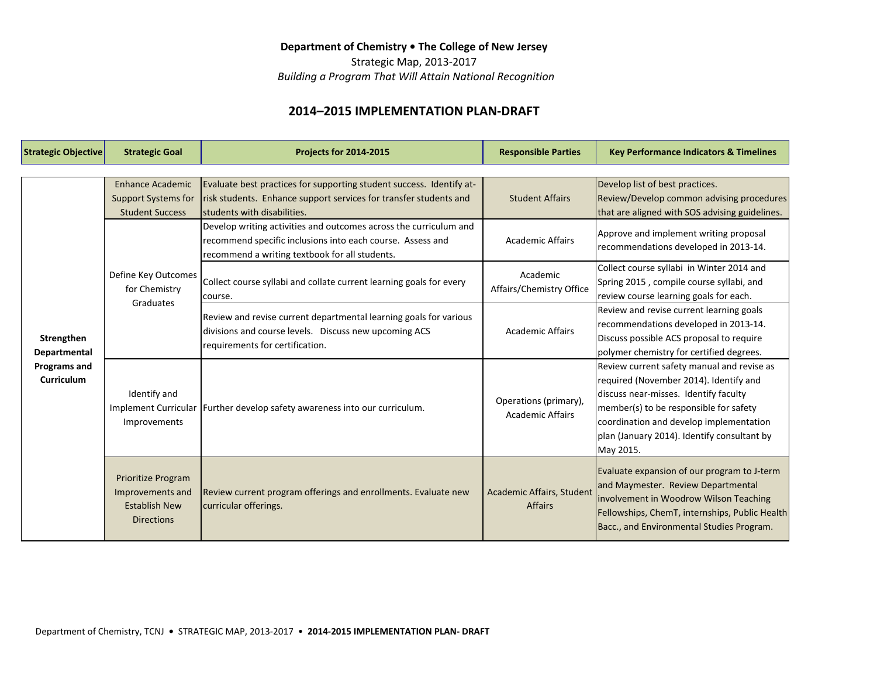Strategic Map, 2013-2017

 *Building a Program That Will Attain National Recognition*

| <b>Strategic Objective</b> | <b>Strategic Goal</b>                                                                      | <b>Projects for 2014-2015</b>                                                                                                                                 | <b>Responsible Parties</b>                       | <b>Key Performance Indicators &amp; Timelines</b> |
|----------------------------|--------------------------------------------------------------------------------------------|---------------------------------------------------------------------------------------------------------------------------------------------------------------|--------------------------------------------------|---------------------------------------------------|
|                            |                                                                                            |                                                                                                                                                               |                                                  |                                                   |
|                            | <b>Enhance Academic</b>                                                                    | Evaluate best practices for supporting student success. Identify at-                                                                                          | <b>Student Affairs</b>                           | Develop list of best practices.                   |
|                            | <b>Support Systems for</b>                                                                 | risk students. Enhance support services for transfer students and                                                                                             |                                                  | Review/Develop common advising procedures         |
|                            | <b>Student Success</b>                                                                     | Istudents with disabilities.                                                                                                                                  |                                                  | that are aligned with SOS advising guidelines.    |
|                            |                                                                                            | Develop writing activities and outcomes across the curriculum and                                                                                             | <b>Academic Affairs</b>                          | Approve and implement writing proposal            |
|                            |                                                                                            | recommend specific inclusions into each course. Assess and                                                                                                    |                                                  | recommendations developed in 2013-14.             |
|                            |                                                                                            | recommend a writing textbook for all students.                                                                                                                |                                                  |                                                   |
|                            | Define Key Outcomes                                                                        | Collect course syllabi and collate current learning goals for every<br>course.                                                                                | Academic<br>Affairs/Chemistry Office             | Collect course syllabi in Winter 2014 and         |
|                            | for Chemistry<br>Graduates                                                                 |                                                                                                                                                               |                                                  | Spring 2015, compile course syllabi, and          |
|                            |                                                                                            |                                                                                                                                                               |                                                  | review course learning goals for each.            |
|                            |                                                                                            | Review and revise current departmental learning goals for various<br>divisions and course levels. Discuss new upcoming ACS<br>requirements for certification. | <b>Academic Affairs</b>                          | Review and revise current learning goals          |
|                            |                                                                                            |                                                                                                                                                               |                                                  | recommendations developed in 2013-14.             |
| Strengthen                 |                                                                                            |                                                                                                                                                               |                                                  | Discuss possible ACS proposal to require          |
| Departmental               |                                                                                            |                                                                                                                                                               |                                                  | polymer chemistry for certified degrees.          |
| <b>Programs and</b>        | Identify and<br>Improvements                                                               | Implement Curricular   Further develop safety awareness into our curriculum.                                                                                  | Operations (primary),<br><b>Academic Affairs</b> | Review current safety manual and revise as        |
| Curriculum                 |                                                                                            |                                                                                                                                                               |                                                  | required (November 2014). Identify and            |
|                            |                                                                                            |                                                                                                                                                               |                                                  | discuss near-misses. Identify faculty             |
|                            |                                                                                            |                                                                                                                                                               |                                                  | member(s) to be responsible for safety            |
|                            |                                                                                            |                                                                                                                                                               |                                                  | coordination and develop implementation           |
|                            |                                                                                            |                                                                                                                                                               |                                                  | plan (January 2014). Identify consultant by       |
|                            |                                                                                            |                                                                                                                                                               |                                                  | May 2015.                                         |
|                            | <b>Prioritize Program</b><br>Improvements and<br><b>Establish New</b><br><b>Directions</b> | Review current program offerings and enrollments. Evaluate new<br>curricular offerings.                                                                       | Academic Affairs, Student<br><b>Affairs</b>      | Evaluate expansion of our program to J-term       |
|                            |                                                                                            |                                                                                                                                                               |                                                  | and Maymester. Review Departmental                |
|                            |                                                                                            |                                                                                                                                                               |                                                  | involvement in Woodrow Wilson Teaching            |
|                            |                                                                                            |                                                                                                                                                               |                                                  | Fellowships, ChemT, internships, Public Health    |
|                            |                                                                                            |                                                                                                                                                               |                                                  | Bacc., and Environmental Studies Program.         |
|                            |                                                                                            |                                                                                                                                                               |                                                  |                                                   |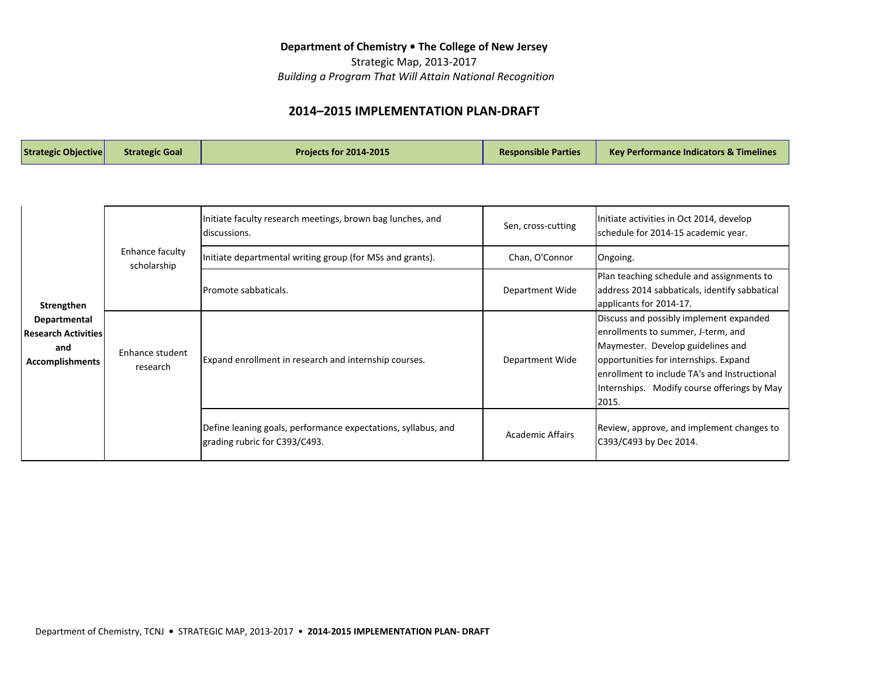Strategic Map, 2013-2017  *Building a Program That Will Attain National Recognition*

| <b>Strategic Objective</b><br><b>Projects for 2014-2015</b><br><b>Strategic Goal</b> | <b>Responsible Parties</b><br><b>Key Performance Indicators &amp; Timelines</b> |
|--------------------------------------------------------------------------------------|---------------------------------------------------------------------------------|
|--------------------------------------------------------------------------------------|---------------------------------------------------------------------------------|

| Strengthen<br>Departmental<br><b>Research Activities</b><br>and<br><b>Accomplishments</b> | Enhance faculty<br>scholarship | Initiate faculty research meetings, brown bag lunches, and<br>Idiscussions.                    | Sen, cross-cutting      | Initiate activities in Oct 2014, develop<br>schedule for 2014-15 academic year.                                                                                                                                                                                      |
|-------------------------------------------------------------------------------------------|--------------------------------|------------------------------------------------------------------------------------------------|-------------------------|----------------------------------------------------------------------------------------------------------------------------------------------------------------------------------------------------------------------------------------------------------------------|
|                                                                                           |                                | Initiate departmental writing group (for MSs and grants).                                      | Chan, O'Connor          | Ongoing.                                                                                                                                                                                                                                                             |
|                                                                                           |                                | lPromote sabbaticals.                                                                          | Department Wide         | Plan teaching schedule and assignments to<br>address 2014 sabbaticals, identify sabbatical<br>applicants for 2014-17.                                                                                                                                                |
|                                                                                           | Enhance student<br>research    | Expand enrollment in research and internship courses.                                          | Department Wide         | Discuss and possibly implement expanded<br>enrollments to summer, J-term, and<br>Maymester. Develop guidelines and<br>opportunities for internships. Expand<br>lenrollment to include TA's and Instructional<br>Internships. Modify course offerings by May<br>2015. |
|                                                                                           |                                | Define leaning goals, performance expectations, syllabus, and<br>grading rubric for C393/C493. | <b>Academic Affairs</b> | Review, approve, and implement changes to<br>C393/C493 by Dec 2014.                                                                                                                                                                                                  |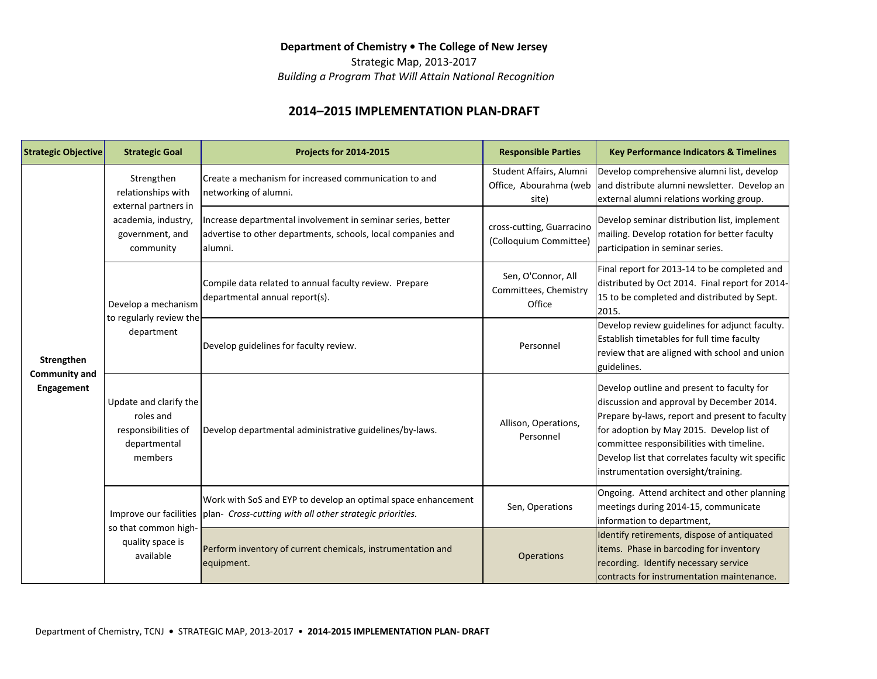Strategic Map, 2013-2017

 *Building a Program That Will Attain National Recognition*

| Strategic Objective                              | <b>Strategic Goal</b>                                                                                           | <b>Projects for 2014-2015</b>                                                                                                                      | <b>Responsible Parties</b>                                 | <b>Key Performance Indicators &amp; Timelines</b>                                                                                                                                                                                                                                                                               |
|--------------------------------------------------|-----------------------------------------------------------------------------------------------------------------|----------------------------------------------------------------------------------------------------------------------------------------------------|------------------------------------------------------------|---------------------------------------------------------------------------------------------------------------------------------------------------------------------------------------------------------------------------------------------------------------------------------------------------------------------------------|
| Strengthen<br><b>Community and</b><br>Engagement | Strengthen<br>relationships with<br>external partners in<br>academia, industry,<br>government, and<br>community | Create a mechanism for increased communication to and<br>networking of alumni.                                                                     | Student Affairs, Alumni<br>Office, Abourahma (web<br>site) | Develop comprehensive alumni list, develop<br>and distribute alumni newsletter. Develop an<br>external alumni relations working group.                                                                                                                                                                                          |
|                                                  |                                                                                                                 | Increase departmental involvement in seminar series, better<br>advertise to other departments, schools, local companies and<br>lalumni.            | cross-cutting, Guarracino<br>(Colloquium Committee)        | Develop seminar distribution list, implement<br>mailing. Develop rotation for better faculty<br>participation in seminar series.                                                                                                                                                                                                |
|                                                  | Develop a mechanism<br>to regularly review the<br>department                                                    | Compile data related to annual faculty review. Prepare<br>departmental annual report(s).                                                           | Sen, O'Connor, All<br>Committees, Chemistry<br>Office      | Final report for 2013-14 to be completed and<br>distributed by Oct 2014. Final report for 2014-<br>15 to be completed and distributed by Sept.<br>2015.                                                                                                                                                                         |
|                                                  |                                                                                                                 | Develop guidelines for faculty review.                                                                                                             | Personnel                                                  | Develop review guidelines for adjunct faculty.<br>Establish timetables for full time faculty<br>review that are aligned with school and union<br>guidelines.                                                                                                                                                                    |
|                                                  | Update and clarify the<br>roles and<br>responsibilities of<br>departmental<br>members                           | Develop departmental administrative guidelines/by-laws.                                                                                            | Allison, Operations,<br>Personnel                          | Develop outline and present to faculty for<br>discussion and approval by December 2014.<br>Prepare by-laws, report and present to faculty<br>for adoption by May 2015. Develop list of<br>committee responsibilities with timeline.<br>Develop list that correlates faculty wit specific<br>instrumentation oversight/training. |
|                                                  | so that common high-<br>quality space is<br>available                                                           | Work with SoS and EYP to develop an optimal space enhancement<br>Improve our facilities   plan- Cross-cutting with all other strategic priorities. | Sen, Operations                                            | Ongoing. Attend architect and other planning<br>meetings during 2014-15, communicate<br>information to department,                                                                                                                                                                                                              |
|                                                  |                                                                                                                 | Perform inventory of current chemicals, instrumentation and<br>equipment.                                                                          | Operations                                                 | Identify retirements, dispose of antiquated<br>items. Phase in barcoding for inventory<br>recording. Identify necessary service<br>contracts for instrumentation maintenance.                                                                                                                                                   |